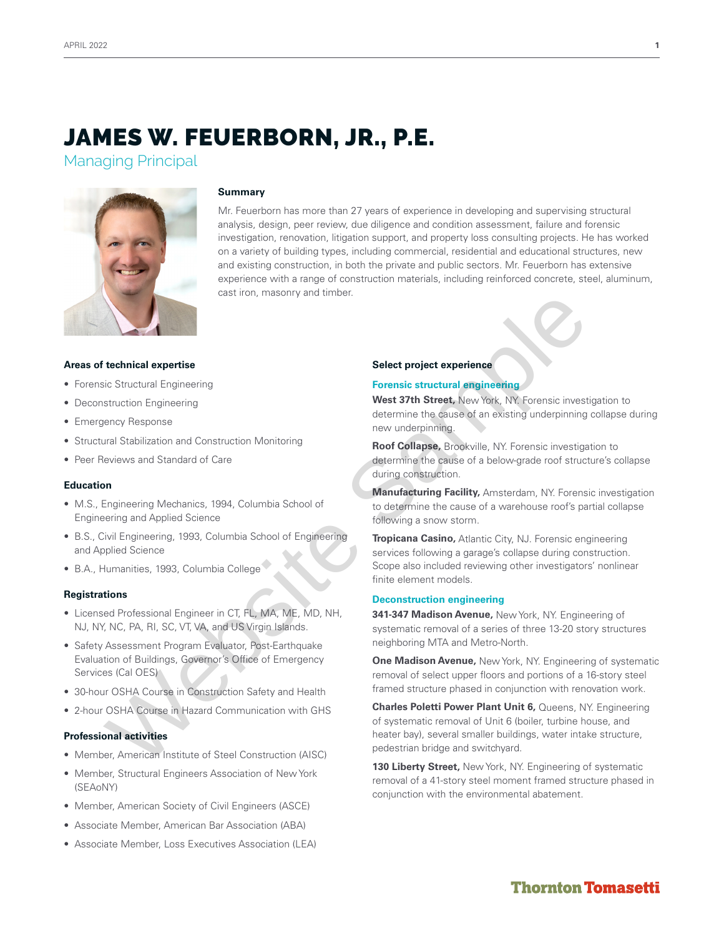Managing Principal



#### **Summary**

Mr. Feuerborn has more than 27 years of experience in developing and supervising structural analysis, design, peer review, due diligence and condition assessment, failure and forensic investigation, renovation, litigation support, and property loss consulting projects. He has worked on a variety of building types, including commercial, residential and educational structures, new and existing construction, in both the private and public sectors. Mr. Feuerborn has extensive experience with a range of construction materials, including reinforced concrete, steel, aluminum, cast iron, masonry and timber.

#### **Areas of technical expertise**

- Forensic Structural Engineering
- Deconstruction Engineering
- Emergency Response
- Structural Stabilization and Construction Monitoring
- Peer Reviews and Standard of Care

### **Education**

- M.S., Engineering Mechanics, 1994, Columbia School of Engineering and Applied Science
- B.S., Civil Engineering, 1993, Columbia School of Engineering and Applied Science
- B.A., Humanities, 1993, Columbia College

#### **Registrations**

- Licensed Professional Engineer in CT, FL, MA, ME, MD, NH, NJ, NY, NC, PA, RI, SC, VT, VA, and US Virgin Islands.
- Safety Assessment Program Evaluator, Post-Earthquake Evaluation of Buildings, Governor's Office of Emergency Services (Cal OES)
- 30-hour OSHA Course in Construction Safety and Health
- 2-hour OSHA Course in Hazard Communication with GHS

#### **Professional activities**

- Member, American Institute of Steel Construction (AISC)
- Member, Structural Engineers Association of New York (SEAoNY)
- Member, American Society of Civil Engineers (ASCE)
- Associate Member, American Bar Association (ABA)
- Associate Member, Loss Executives Association (LEA)

#### **Select project experience**

#### **Forensic structural engineering**

**West 37th Street,** New York, NY. Forensic investigation to determine the cause of an existing underpinning collapse during new underpinning.

**Roof Collapse,** Brookville, NY. Forensic investigation to determine the cause of a below-grade roof structure's collapse during construction.

**Manufacturing Facility,** Amsterdam, NY. Forensic investigation to determine the cause of a warehouse roof's partial collapse following a snow storm.

**Tropicana Casino,** Atlantic City, NJ. Forensic engineering services following a garage's collapse during construction. Scope also included reviewing other investigators' nonlinear finite element models. Consideration (Consideration and Consideration and Consideration and Consideration and Consideration and Consideration and Consideration and Consideration and Consideration (Consideration and Consideration and Consideratio

#### **Deconstruction engineering**

**341-347 Madison Avenue,** New York, NY. Engineering of systematic removal of a series of three 13-20 story structures neighboring MTA and Metro-North.

**One Madison Avenue,** New York, NY. Engineering of systematic removal of select upper floors and portions of a 16-story steel framed structure phased in conjunction with renovation work.

**Charles Poletti Power Plant Unit 6,** Queens, NY. Engineering of systematic removal of Unit 6 (boiler, turbine house, and heater bay), several smaller buildings, water intake structure, pedestrian bridge and switchyard.

**130 Liberty Street,** New York, NY. Engineering of systematic removal of a 41-story steel moment framed structure phased in conjunction with the environmental abatement.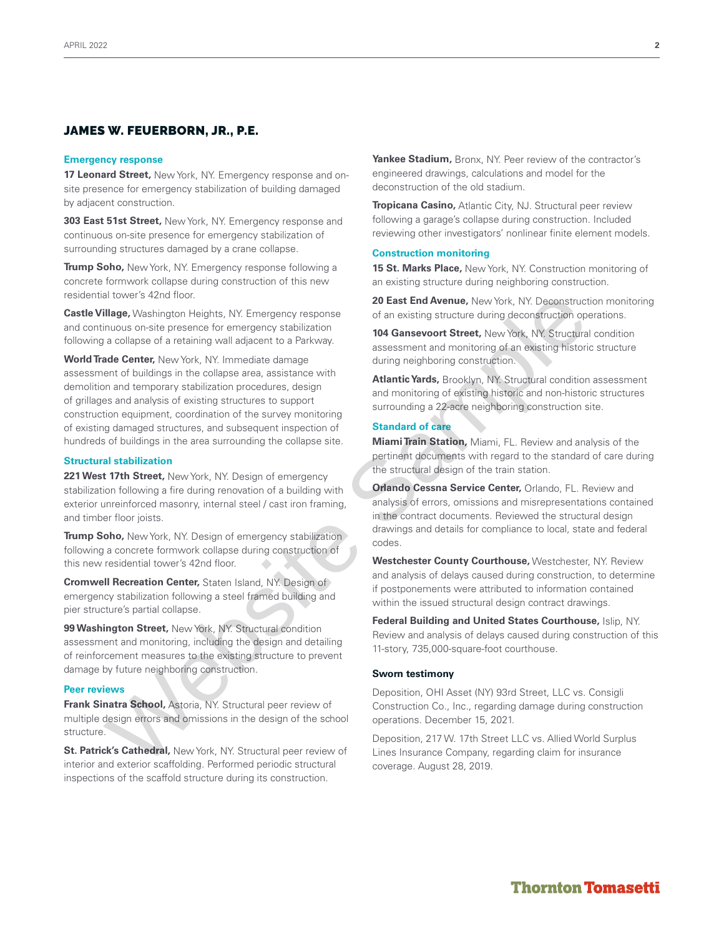#### **Emergency response**

**17 Leonard Street,** New York, NY. Emergency response and onsite presence for emergency stabilization of building damaged by adjacent construction.

**303 East 51st Street,** New York, NY. Emergency response and continuous on-site presence for emergency stabilization of surrounding structures damaged by a crane collapse.

**Trump Soho,** New York, NY. Emergency response following a concrete formwork collapse during construction of this new residential tower's 42nd floor.

**Castle Village,** Washington Heights, NY. Emergency response and continuous on-site presence for emergency stabilization following a collapse of a retaining wall adjacent to a Parkway.

**World Trade Center,** New York, NY. Immediate damage assessment of buildings in the collapse area, assistance with demolition and temporary stabilization procedures, design of grillages and analysis of existing structures to support construction equipment, coordination of the survey monitoring of existing damaged structures, and subsequent inspection of hundreds of buildings in the area surrounding the collapse site. at towers 42nd too.<br>
Hilage Washington Heights, NY. Emergency response of an exist **End Avenue,** New York, NY. Descentration<br>
intuous on-site presence for entaining validization<br>
intuous on-site presence for entaining vali

## **Structural stabilization**

**221 West 17th Street,** New York, NY. Design of emergency stabilization following a fire during renovation of a building with exterior unreinforced masonry, internal steel / cast iron framing, and timber floor joists.

**Trump Soho,** New York, NY. Design of emergency stabilization following a concrete formwork collapse during construction of this new residential tower's 42nd floor.

**Cromwell Recreation Center,** Staten Island, NY. Design of emergency stabilization following a steel framed building and pier structure's partial collapse.

**99 Washington Street,** New York, NY. Structural condition assessment and monitoring, including the design and detailing of reinforcement measures to the existing structure to prevent damage by future neighboring construction.

#### **Peer reviews**

**Frank Sinatra School,** Astoria, NY. Structural peer review of multiple design errors and omissions in the design of the school structure.

**St. Patrick's Cathedral,** New York, NY. Structural peer review of interior and exterior scaffolding. Performed periodic structural inspections of the scaffold structure during its construction.

**Yankee Stadium,** Bronx, NY. Peer review of the contractor's engineered drawings, calculations and model for the deconstruction of the old stadium.

**Tropicana Casino,** Atlantic City, NJ. Structural peer review following a garage's collapse during construction. Included reviewing other investigators' nonlinear finite element models.

#### **Construction monitoring**

**15 St. Marks Place,** New York, NY. Construction monitoring of an existing structure during neighboring construction.

**20 East End Avenue,** New York, NY. Deconstruction monitoring of an existing structure during deconstruction operations.

**104 Gansevoort Street,** New York, NY. Structural condition assessment and monitoring of an existing historic structure during neighboring construction.

**Atlantic Yards,** Brooklyn, NY. Structural condition assessment and monitoring of existing historic and non-historic structures surrounding a 22-acre neighboring construction site.

## **Standard of care**

**Miami Train Station,** Miami, FL. Review and analysis of the pertinent documents with regard to the standard of care during the structural design of the train station.

**Orlando Cessna Service Center,** Orlando, FL. Review and analysis of errors, omissions and misrepresentations contained in the contract documents. Reviewed the structural design drawings and details for compliance to local, state and federal codes.

**Westchester County Courthouse,** Westchester, NY. Review and analysis of delays caused during construction, to determine if postponements were attributed to information contained within the issued structural design contract drawings.

**Federal Building and United States Courthouse,** Islip, NY. Review and analysis of delays caused during construction of this 11-story, 735,000-square-foot courthouse.

#### **Sworn testimony**

Deposition, OHI Asset (NY) 93rd Street, LLC vs. Consigli Construction Co., Inc., regarding damage during construction operations. December 15, 2021.

Deposition, 217 W. 17th Street LLC vs. Allied World Surplus Lines Insurance Company, regarding claim for insurance coverage. August 28, 2019.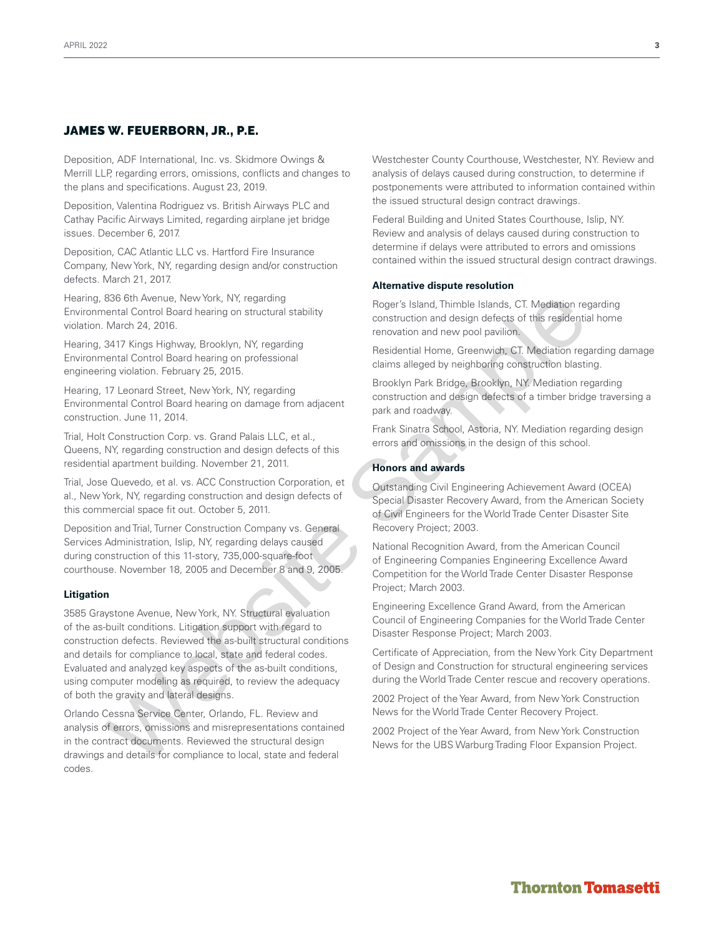Deposition, ADF International, Inc. vs. Skidmore Owings & Merrill LLP, regarding errors, omissions, conflicts and changes to the plans and specifications. August 23, 2019.

Deposition, Valentina Rodriguez vs. British Airways PLC and Cathay Pacific Airways Limited, regarding airplane jet bridge issues. December 6, 2017.

Deposition, CAC Atlantic LLC vs. Hartford Fire Insurance Company, New York, NY, regarding design and/or construction defects. March 21, 2017.

Hearing, 836 6th Avenue, New York, NY, regarding Environmental Control Board hearing on structural stability violation. March 24, 2016.

Hearing, 3417 Kings Highway, Brooklyn, NY, regarding Environmental Control Board hearing on professional engineering violation. February 25, 2015.

Hearing, 17 Leonard Street, New York, NY, regarding Environmental Control Board hearing on damage from adjacent construction. June 11, 2014.

Trial, Holt Construction Corp. vs. Grand Palais LLC, et al., Queens, NY, regarding construction and design defects of this residential apartment building. November 21, 2011.

Trial, Jose Quevedo, et al. vs. ACC Construction Corporation, et al., New York, NY, regarding construction and design defects of this commercial space fit out. October 5, 2011.

Deposition and Trial, Turner Construction Company vs. General Services Administration, Islip, NY, regarding delays caused during construction of this 11-story, 735,000-square-foot courthouse. November 18, 2005 and December 8 and 9, 2005.

#### **Litigation**

3585 Graystone Avenue, New York, NY. Structural evaluation of the as-built conditions. Litigation support with regard to construction defects. Reviewed the as-built structural conditions and details for compliance to local, state and federal codes. Evaluated and analyzed key aspects of the as-built conditions, using computer modeling as required, to review the adequacy of both the gravity and lateral designs. 806 the Menue, New York, NY, regarding<br>
and Bond The Menuel Schick and Thimble Blands, CT. Maditaion requested and<br>
then the Menuel Control Board hearing on structural stability<br>
March 24, 2016.<br>
March 24, 2016.<br>
March 24,

Orlando Cessna Service Center, Orlando, FL. Review and analysis of errors, omissions and misrepresentations contained in the contract documents. Reviewed the structural design drawings and details for compliance to local, state and federal codes.

Westchester County Courthouse, Westchester, NY. Review and analysis of delays caused during construction, to determine if postponements were attributed to information contained within the issued structural design contract drawings.

Federal Building and United States Courthouse, Islip, NY. Review and analysis of delays caused during construction to determine if delays were attributed to errors and omissions contained within the issued structural design contract drawings.

#### **Alternative dispute resolution**

Roger's Island, Thimble Islands, CT. Mediation regarding construction and design defects of this residential home renovation and new pool pavilion.

Residential Home, Greenwich, CT. Mediation regarding damage claims alleged by neighboring construction blasting.

Brooklyn Park Bridge, Brooklyn, NY. Mediation regarding construction and design defects of a timber bridge traversing a park and roadway.

Frank Sinatra School, Astoria, NY. Mediation regarding design errors and omissions in the design of this school.

#### **Honors and awards**

Outstanding Civil Engineering Achievement Award (OCEA) Special Disaster Recovery Award, from the American Society of Civil Engineers for the World Trade Center Disaster Site Recovery Project; 2003.

National Recognition Award, from the American Council of Engineering Companies Engineering Excellence Award Competition for the World Trade Center Disaster Response Project; March 2003.

Engineering Excellence Grand Award, from the American Council of Engineering Companies for the World Trade Center Disaster Response Project; March 2003.

Certificate of Appreciation, from the New York City Department of Design and Construction for structural engineering services during the World Trade Center rescue and recovery operations.

2002 Project of the Year Award, from New York Construction News for the World Trade Center Recovery Project.

2002 Project of the Year Award, from New York Construction News for the UBS Warburg Trading Floor Expansion Project.